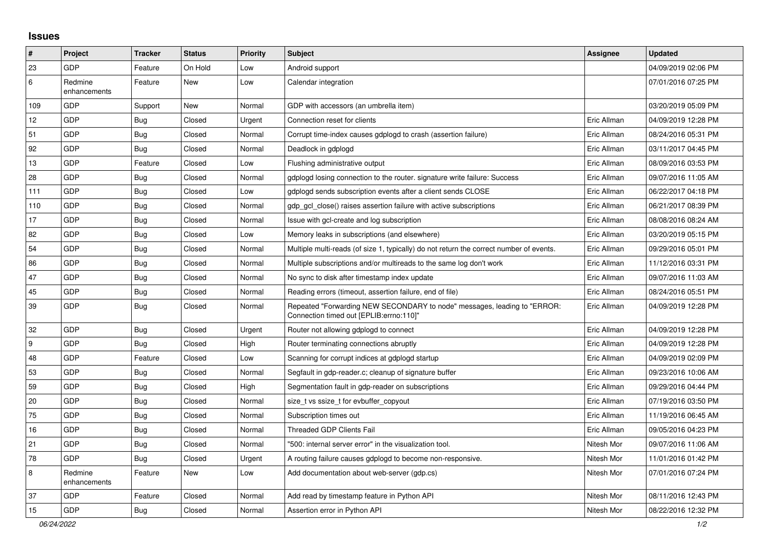## **Issues**

| #                | Project                 | <b>Tracker</b> | <b>Status</b> | <b>Priority</b> | <b>Subject</b>                                                                                                      | <b>Assignee</b> | <b>Updated</b>      |
|------------------|-------------------------|----------------|---------------|-----------------|---------------------------------------------------------------------------------------------------------------------|-----------------|---------------------|
| 23               | <b>GDP</b>              | Feature        | On Hold       | Low             | Android support                                                                                                     |                 | 04/09/2019 02:06 PM |
| 6                | Redmine<br>enhancements | Feature        | <b>New</b>    | Low             | Calendar integration                                                                                                |                 | 07/01/2016 07:25 PM |
| 109              | <b>GDP</b>              | Support        | New           | Normal          | GDP with accessors (an umbrella item)                                                                               |                 | 03/20/2019 05:09 PM |
| 12               | GDP                     | <b>Bug</b>     | Closed        | Urgent          | Connection reset for clients                                                                                        | Eric Allman     | 04/09/2019 12:28 PM |
| 51               | GDP                     | <b>Bug</b>     | Closed        | Normal          | Corrupt time-index causes gdplogd to crash (assertion failure)                                                      | Eric Allman     | 08/24/2016 05:31 PM |
| 92               | <b>GDP</b>              | <b>Bug</b>     | Closed        | Normal          | Deadlock in gdplogd                                                                                                 | Eric Allman     | 03/11/2017 04:45 PM |
| 13               | GDP                     | Feature        | Closed        | Low             | Flushing administrative output                                                                                      | Eric Allman     | 08/09/2016 03:53 PM |
| 28               | <b>GDP</b>              | Bug            | Closed        | Normal          | gdplogd losing connection to the router, signature write failure: Success                                           | Eric Allman     | 09/07/2016 11:05 AM |
| 111              | GDP                     | Bug            | Closed        | Low             | gdplogd sends subscription events after a client sends CLOSE                                                        | Eric Allman     | 06/22/2017 04:18 PM |
| 110              | <b>GDP</b>              | <b>Bug</b>     | Closed        | Normal          | gdp gcl close() raises assertion failure with active subscriptions                                                  | Eric Allman     | 06/21/2017 08:39 PM |
| 17               | GDP                     | <b>Bug</b>     | Closed        | Normal          | Issue with gcl-create and log subscription                                                                          | Eric Allman     | 08/08/2016 08:24 AM |
| 82               | <b>GDP</b>              | Bug            | Closed        | Low             | Memory leaks in subscriptions (and elsewhere)                                                                       | Eric Allman     | 03/20/2019 05:15 PM |
| 54               | GDP                     | <b>Bug</b>     | Closed        | Normal          | Multiple multi-reads (of size 1, typically) do not return the correct number of events.                             | Eric Allman     | 09/29/2016 05:01 PM |
| 86               | <b>GDP</b>              | Bug            | Closed        | Normal          | Multiple subscriptions and/or multireads to the same log don't work                                                 | Eric Allman     | 11/12/2016 03:31 PM |
| 47               | GDP                     | <b>Bug</b>     | Closed        | Normal          | No sync to disk after timestamp index update                                                                        | Eric Allman     | 09/07/2016 11:03 AM |
| 45               | <b>GDP</b>              | <b>Bug</b>     | Closed        | Normal          | Reading errors (timeout, assertion failure, end of file)                                                            | Eric Allman     | 08/24/2016 05:51 PM |
| 39               | <b>GDP</b>              | <b>Bug</b>     | Closed        | Normal          | Repeated "Forwarding NEW SECONDARY to node" messages, leading to "ERROR:<br>Connection timed out [EPLIB:errno:110]" | Eric Allman     | 04/09/2019 12:28 PM |
| 32               | <b>GDP</b>              | <b>Bug</b>     | Closed        | Urgent          | Router not allowing gdplogd to connect                                                                              | Eric Allman     | 04/09/2019 12:28 PM |
| $\boldsymbol{9}$ | <b>GDP</b>              | Bug            | Closed        | High            | Router terminating connections abruptly                                                                             | Eric Allman     | 04/09/2019 12:28 PM |
| 48               | <b>GDP</b>              | Feature        | Closed        | Low             | Scanning for corrupt indices at gdplogd startup                                                                     | Eric Allman     | 04/09/2019 02:09 PM |
| 53               | <b>GDP</b>              | <b>Bug</b>     | Closed        | Normal          | Segfault in gdp-reader.c; cleanup of signature buffer                                                               | Eric Allman     | 09/23/2016 10:06 AM |
| 59               | GDP                     | Bug            | Closed        | High            | Segmentation fault in gdp-reader on subscriptions                                                                   | Eric Allman     | 09/29/2016 04:44 PM |
| 20               | <b>GDP</b>              | <b>Bug</b>     | Closed        | Normal          | size t vs ssize t for evbuffer copyout                                                                              | Eric Allman     | 07/19/2016 03:50 PM |
| 75               | <b>GDP</b>              | Bug            | Closed        | Normal          | Subscription times out                                                                                              | Eric Allman     | 11/19/2016 06:45 AM |
| 16               | <b>GDP</b>              | <b>Bug</b>     | Closed        | Normal          | <b>Threaded GDP Clients Fail</b>                                                                                    | Eric Allman     | 09/05/2016 04:23 PM |
| 21               | GDP                     | Bug            | Closed        | Normal          | "500: internal server error" in the visualization tool.                                                             | Nitesh Mor      | 09/07/2016 11:06 AM |
| 78               | <b>GDP</b>              | Bug            | Closed        | Urgent          | A routing failure causes gdplogd to become non-responsive.                                                          | Nitesh Mor      | 11/01/2016 01:42 PM |
| 8                | Redmine<br>enhancements | Feature        | <b>New</b>    | Low             | Add documentation about web-server (gdp.cs)                                                                         | Nitesh Mor      | 07/01/2016 07:24 PM |
| 37               | <b>GDP</b>              | Feature        | Closed        | Normal          | Add read by timestamp feature in Python API                                                                         | Nitesh Mor      | 08/11/2016 12:43 PM |
| 15               | GDP                     | <b>Bug</b>     | Closed        | Normal          | Assertion error in Python API                                                                                       | Nitesh Mor      | 08/22/2016 12:32 PM |